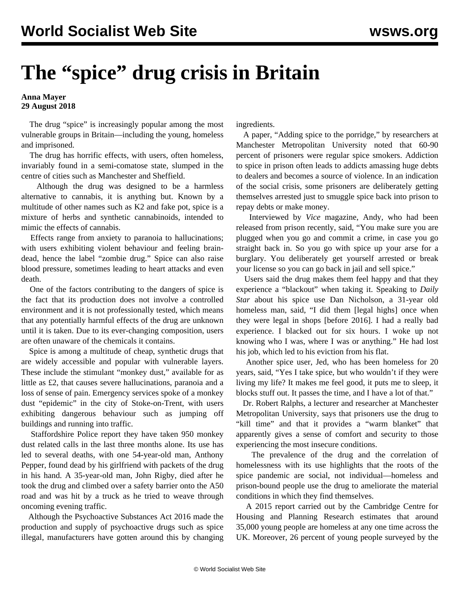## **The "spice" drug crisis in Britain**

## **Anna Mayer 29 August 2018**

 The drug "spice" is increasingly popular among the most vulnerable groups in Britain—including the young, homeless and imprisoned.

 The drug has horrific effects, with users, often homeless, invariably found in a semi-comatose state, slumped in the centre of cities such as Manchester and Sheffield.

 Although the drug was designed to be a harmless alternative to cannabis, it is anything but. Known by a multitude of other names such as K2 and fake pot, spice is a mixture of herbs and synthetic cannabinoids, intended to mimic the effects of cannabis.

 Effects range from anxiety to paranoia to hallucinations; with users exhibiting violent behaviour and feeling braindead, hence the label "zombie drug." Spice can also raise blood pressure, sometimes leading to heart attacks and even death.

 One of the factors contributing to the dangers of spice is the fact that its production does not involve a controlled environment and it is not professionally tested, which means that any potentially harmful effects of the drug are unknown until it is taken. Due to its ever-changing composition, users are often unaware of the chemicals it contains.

 Spice is among a multitude of cheap, synthetic drugs that are widely accessible and popular with vulnerable layers. These include the stimulant "monkey dust," available for as little as £2, that causes severe hallucinations, paranoia and a loss of sense of pain. Emergency services spoke of a monkey dust "epidemic" in the city of Stoke-on-Trent, with users exhibiting dangerous behaviour such as jumping off buildings and running into traffic.

 Staffordshire Police report they have taken 950 monkey dust related calls in the last three months alone. Its use has led to several deaths, with one 54-year-old man, Anthony Pepper, found dead by his girlfriend with packets of the drug in his hand. A 35-year-old man, John Rigby, died after he took the drug and climbed over a safety barrier onto the A50 road and was hit by a truck as he tried to weave through oncoming evening traffic.

 Although the Psychoactive Substances Act 2016 made the production and supply of psychoactive drugs such as spice illegal, manufacturers have gotten around this by changing ingredients.

 A paper, "Adding spice to the porridge," by researchers at Manchester Metropolitan University noted that 60-90 percent of prisoners were regular spice smokers. Addiction to spice in prison often leads to addicts amassing huge debts to dealers and becomes a source of violence. In an indication of the social crisis, some prisoners are deliberately getting themselves arrested just to smuggle spice back into prison to repay debts or make money.

 Interviewed by *Vice* magazine, Andy, who had been released from prison recently, said, "You make sure you are plugged when you go and commit a crime, in case you go straight back in. So you go with spice up your arse for a burglary. You deliberately get yourself arrested or break your license so you can go back in jail and sell spice."

 Users said the drug makes them feel happy and that they experience a "blackout" when taking it. Speaking to *Daily Star* about his spice use Dan Nicholson, a 31-year old homeless man, said, "I did them [legal highs] once when they were legal in shops [before 2016]. I had a really bad experience. I blacked out for six hours. I woke up not knowing who I was, where I was or anything." He had lost his job, which led to his eviction from his flat.

 Another spice user, Jed, who has been homeless for 20 years, said, "Yes I take spice, but who wouldn't if they were living my life? It makes me feel good, it puts me to sleep, it blocks stuff out. It passes the time, and I have a lot of that."

 Dr. Robert Ralphs, a lecturer and researcher at Manchester Metropolitan University, says that prisoners use the drug to "kill time" and that it provides a "warm blanket" that apparently gives a sense of comfort and security to those experiencing the most insecure conditions.

 The prevalence of the drug and the correlation of homelessness with its use highlights that the roots of the spice pandemic are social, not individual—homeless and prison-bound people use the drug to ameliorate the material conditions in which they find themselves.

 A 2015 report carried out by the Cambridge Centre for Housing and Planning Research estimates that around 35,000 young people are homeless at any one time across the UK. Moreover, 26 percent of young people surveyed by the